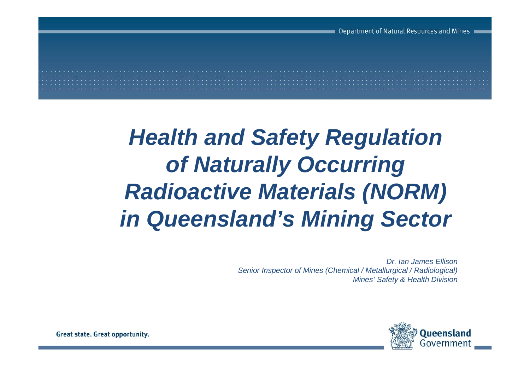# *Health and Safety Regulation of Naturally Occurring Radioactive Materials (NORM) in Queensland's Mining Sector*

*Dr. Ian James EllisonSenior Inspector of Mines (Chemical / Metallurgical / Radiological) Mines' Safety & Health Division*



Great state. Great opportunity.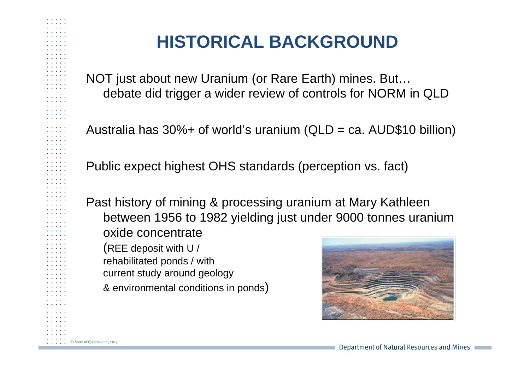### **HISTORICAL BACKGROUND**

NOT just about new Uranium (or Rare Earth) mines. But… debate did trigger a wider review of controls for NORM in QLD

Australia has 30%+ of world's uranium (QLD = ca. AUD\$10 billion)

Public expect highest OHS standards (perception vs. fact)

C State of Queensland, 2013

Past history of mining & processing uranium at Mary Kathleen between 1956 to 1982 yielding just under 9000 tonnes uranium oxide concentrate (REE deposit with U / rehabilitated ponds / with current study around geology & environmental conditions in ponds )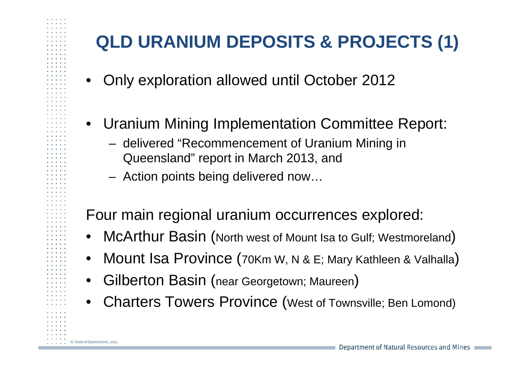### **QLD URANIUM DEPOSITS & PROJECTS (1)**

- Only exploration allowed until October 2012
- Uranium Mining Implementation Committee Report:
	- delivered "Recommencement of Uranium Mining in Queensland" report in March 2013, and
	- Action points being delivered now…

#### Four main regional uranium occurrences explored:

- •McArthur Basin (North west of Mount Isa to Gulf; Westmoreland )
- •● Mount Isa Province (70Km W, N & E; Mary Kathleen & Valhalla)
- •Gilberton Basin (near Georgetown; Maureen )

C State of Queensland, 2013

• Charters Towers Province (West of Townsville; Ben Lomond)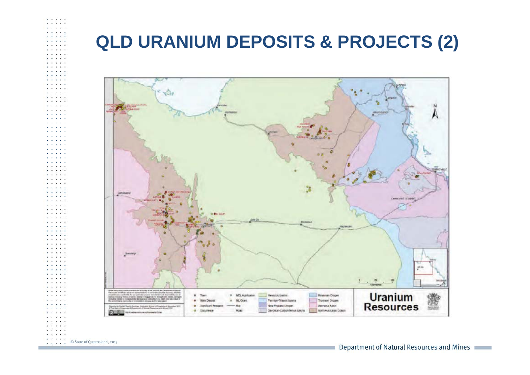### **QLD URANIUM DEPOSITS & PROJECTS (2)**

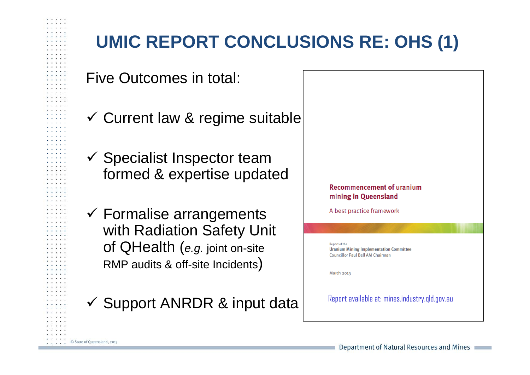### **UMIC REPORT CONCLUSIONS RE: OHS (1)**

Five Outcomes in total:

- $\checkmark$  Current law & regime suitable
- $\checkmark$  Specialist Inspector team formed & expertise updated
- $\checkmark$  Formalise arrangements with Radiation Safety Unit of QHealth (*e.g.* joint on-site RMP audits & off-site Incidents)

#### $\checkmark$  Support ANRDR & input data  $|$  Report available at: mines.industry.qld.gov.au

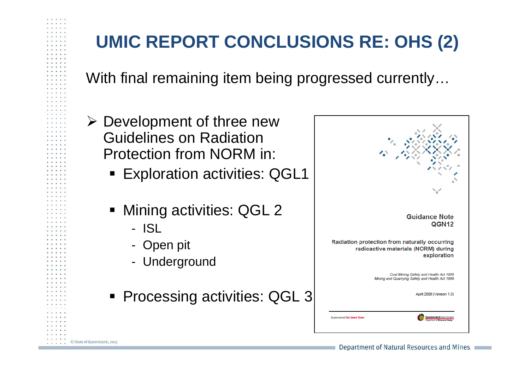## **UMIC REPORT CONCLUSIONS RE: OHS (2)**

With final remaining item being progressed currently…

- ¾ Development of three new Guidelines on Radiation Protection from NORM in:
	- Exploration activities: QGL1
	- **Mining activities: QGL 2** 
		- ISL

C State of Queensland, 2013

- -- Open pit
- Underground
- Processing activities: QGL 3

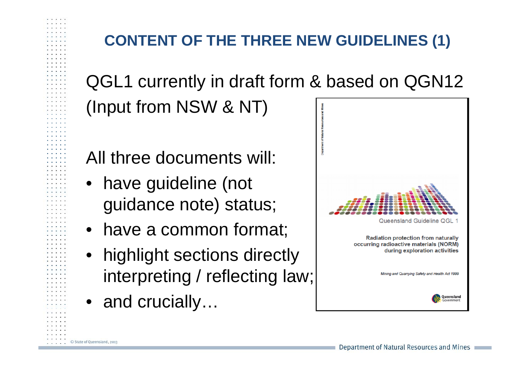### **CONTENT OF THE THREE NEW GUIDELINES (1)**

QGL1 currently in draft form & based on QGN12 (Input from NSW & NT)

All three documents will:

- have guideline (not guidance note) status;
- have a common format;
- highlight sections directly interpreting / reflecting law;
- and crucially…

C State of Queensland, 2013

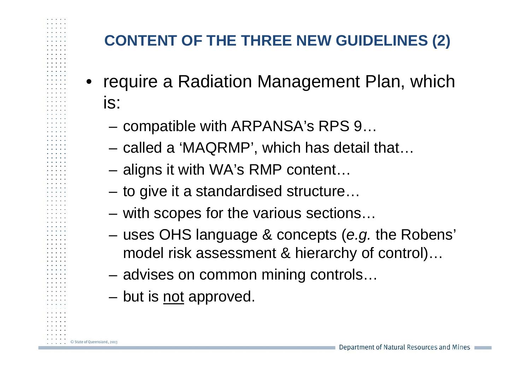### **CONTENT OF THE THREE NEW GUIDELINES (2)**

- require a Radiation Management Plan, which is:
	- $-$  compatible with ARPANSA's RPS 9...
	- called a 'MAQRMP', which has detail that…
	- $-$  aligns it with WA's RMP content…
	- $-$  to give it a standardised structure…
	- – $-$  with scopes for the various sections…
	- – uses OHS language & concepts (*e.g.* the Robens' model risk assessment & hierarchy of control)…
	- advises on common mining controls…
	- but is <u>not</u> approved.

C State of Queensland, 2013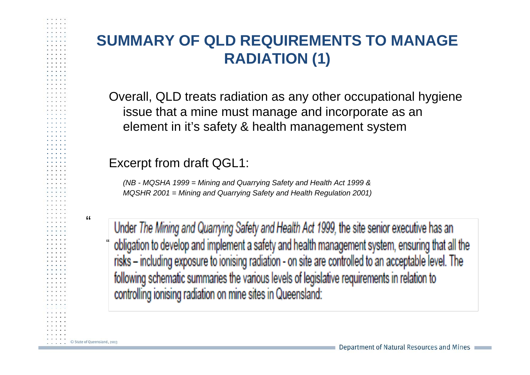#### **SUMMARY OF QLD REQUIREMENTS TO MANAGE RADIATION (1)**

Overall, QLD treats radiation as any other occupational hygiene issue that a mine must manage and incorporate as an element in it's safety & health management system

#### Excerpt from draft QGL1:

*(NB - MQSHA 1999 = Mining and Quarrying Safety and Health Act 1999 & MQSHR 2001 = Mining and Quarrying Safety and Health Regulation 2001)*

"

C State of Queensland, 2013

"

Under The Mining and Quarrying Safety and Health Act 1999, the site senior executive has an obligation to develop and implement a safety and health management system, ensuring that all the risks - including exposure to ionising radiation - on site are controlled to an acceptable level. The following schematic summaries the various levels of legislative requirements in relation to controlling ionising radiation on mine sites in Queensland: